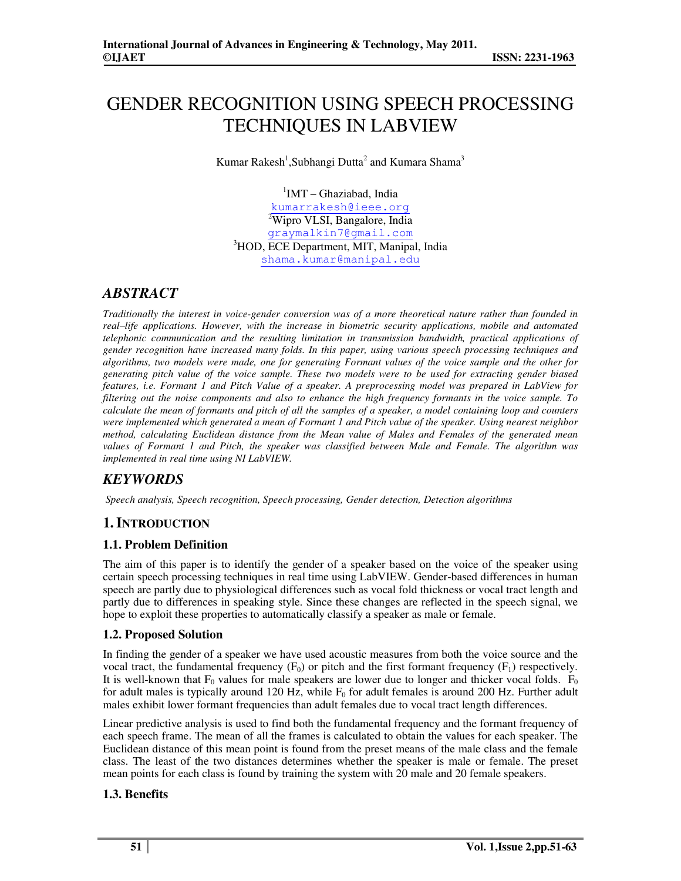# GENDER RECOGNITION USING SPEECH PROCESSING TECHNIQUES IN LABVIEW

Kumar Rakesh<sup>1</sup>, Subhangi Dutta<sup>2</sup> and Kumara Shama<sup>3</sup>

<sup>1</sup>IMT - Ghaziabad, India kumarrakesh@ieee.org <sup>2</sup>Wipro VLSI, Bangalore, India graymalkin7@gmail.com <sup>3</sup>HOD, ECE Department, MIT, Manipal, India shama.kumar@manipal.edu

## *ABSTRACT*

*Traditionally the interest in voice-gender conversion was of a more theoretical nature rather than founded in real–life applications. However, with the increase in biometric security applications, mobile and automated telephonic communication and the resulting limitation in transmission bandwidth, practical applications of gender recognition have increased many folds. In this paper, using various speech processing techniques and algorithms, two models were made, one for generating Formant values of the voice sample and the other for generating pitch value of the voice sample. These two models were to be used for extracting gender biased features, i.e. Formant 1 and Pitch Value of a speaker. A preprocessing model was prepared in LabView for filtering out the noise components and also to enhance the high frequency formants in the voice sample. To calculate the mean of formants and pitch of all the samples of a speaker, a model containing loop and counters were implemented which generated a mean of Formant 1 and Pitch value of the speaker. Using nearest neighbor method, calculating Euclidean distance from the Mean value of Males and Females of the generated mean values of Formant 1 and Pitch, the speaker was classified between Male and Female. The algorithm was implemented in real time using NI LabVIEW.* 

## *KEYWORDS*

 *Speech analysis, Speech recognition, Speech processing, Gender detection, Detection algorithms* 

## **1.INTRODUCTION**

## **1.1. Problem Definition**

The aim of this paper is to identify the gender of a speaker based on the voice of the speaker using certain speech processing techniques in real time using LabVIEW. Gender-based differences in human speech are partly due to physiological differences such as vocal fold thickness or vocal tract length and partly due to differences in speaking style. Since these changes are reflected in the speech signal, we hope to exploit these properties to automatically classify a speaker as male or female.

#### **1.2. Proposed Solution**

In finding the gender of a speaker we have used acoustic measures from both the voice source and the vocal tract, the fundamental frequency  $(F_0)$  or pitch and the first formant frequency  $(F_1)$  respectively. It is well-known that  $F_0$  values for male speakers are lower due to longer and thicker vocal folds.  $F_0$ for adult males is typically around 120 Hz, while  $F_0$  for adult females is around 200 Hz. Further adult males exhibit lower formant frequencies than adult females due to vocal tract length differences.

Linear predictive analysis is used to find both the fundamental frequency and the formant frequency of each speech frame. The mean of all the frames is calculated to obtain the values for each speaker. The Euclidean distance of this mean point is found from the preset means of the male class and the female class. The least of the two distances determines whether the speaker is male or female. The preset mean points for each class is found by training the system with 20 male and 20 female speakers.

#### **1.3. Benefits**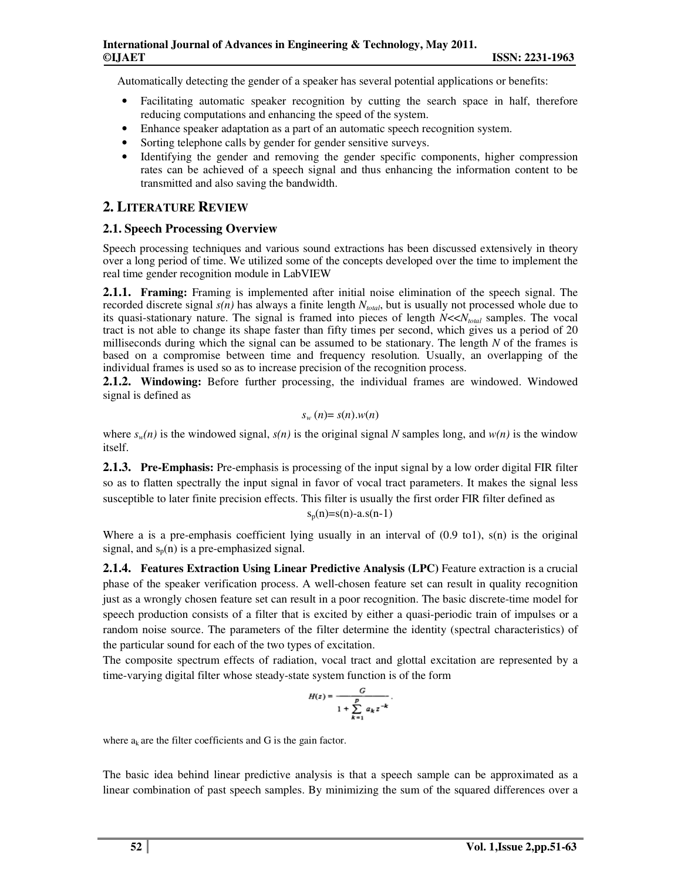Automatically detecting the gender of a speaker has several potential applications or benefits:

- Facilitating automatic speaker recognition by cutting the search space in half, therefore reducing computations and enhancing the speed of the system.
- Enhance speaker adaptation as a part of an automatic speech recognition system.
- Sorting telephone calls by gender for gender sensitive surveys.
- Identifying the gender and removing the gender specific components, higher compression rates can be achieved of a speech signal and thus enhancing the information content to be transmitted and also saving the bandwidth.

## **2. LITERATURE REVIEW**

### **2.1. Speech Processing Overview**

Speech processing techniques and various sound extractions has been discussed extensively in theory over a long period of time. We utilized some of the concepts developed over the time to implement the real time gender recognition module in LabVIEW

**2.1.1. Framing:** Framing is implemented after initial noise elimination of the speech signal. The recorded discrete signal  $s(n)$  has always a finite length  $N_{total}$ , but is usually not processed whole due to its quasi-stationary nature. The signal is framed into pieces of length *N*<<*Ntotal* samples. The vocal tract is not able to change its shape faster than fifty times per second, which gives us a period of 20 milliseconds during which the signal can be assumed to be stationary. The length *N* of the frames is based on a compromise between time and frequency resolution*.* Usually, an overlapping of the individual frames is used so as to increase precision of the recognition process.

**2.1.2. Windowing:** Before further processing, the individual frames are windowed. Windowed signal is defined as

$$
s_w(n)=s(n).w(n)
$$

where  $s_w(n)$  is the windowed signal,  $s(n)$  is the original signal *N* samples long, and  $w(n)$  is the window itself.

**2.1.3. Pre-Emphasis:** Pre-emphasis is processing of the input signal by a low order digital FIR filter so as to flatten spectrally the input signal in favor of vocal tract parameters. It makes the signal less susceptible to later finite precision effects. This filter is usually the first order FIR filter defined as  $s_n(n)=s(n)-a.s(n-1)$ 

Where a is a pre-emphasis coefficient lying usually in an interval of  $(0.9 \text{ to } 1)$ ,  $s(n)$  is the original signal, and  $s_p(n)$  is a pre-emphasized signal.

**2.1.4. Features Extraction Using Linear Predictive Analysis (LPC)** Feature extraction is a crucial phase of the speaker verification process. A well-chosen feature set can result in quality recognition just as a wrongly chosen feature set can result in a poor recognition. The basic discrete-time model for speech production consists of a filter that is excited by either a quasi-periodic train of impulses or a random noise source. The parameters of the filter determine the identity (spectral characteristics) of the particular sound for each of the two types of excitation.

The composite spectrum effects of radiation, vocal tract and glottal excitation are represented by a time-varying digital filter whose steady-state system function is of the form

$$
H(z) = \frac{G}{1 + \sum_{k=1}^p a_k z^{-k}}.
$$

where  $a_k$  are the filter coefficients and G is the gain factor.

The basic idea behind linear predictive analysis is that a speech sample can be approximated as a linear combination of past speech samples. By minimizing the sum of the squared differences over a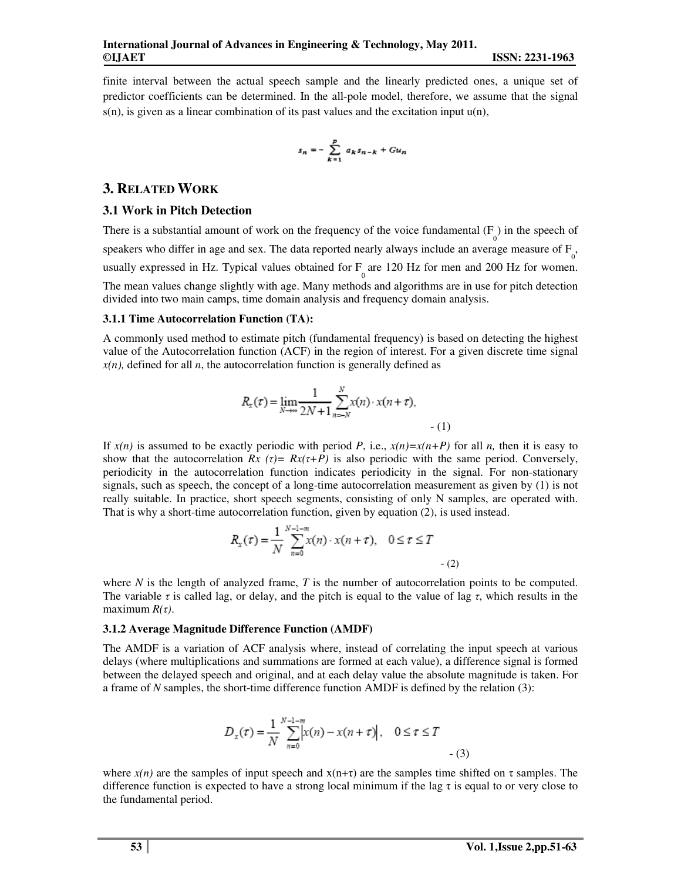finite interval between the actual speech sample and the linearly predicted ones, a unique set of predictor coefficients can be determined. In the all-pole model, therefore, we assume that the signal  $s(n)$ , is given as a linear combination of its past values and the excitation input  $u(n)$ ,

$$
s_n=-\sum_{k=1}^pa_ks_{n-k}+Gu_n
$$

#### **3. RELATED WORK**

#### **3.1 Work in Pitch Detection**

There is a substantial amount of work on the frequency of the voice fundamental  $(F_0)$  in the speech of speakers who differ in age and sex. The data reported nearly always include an average measure of  $F_{0}$ , usually expressed in Hz. Typical values obtained for  $F_0$  are 120 Hz for men and 200 Hz for women. The mean values change slightly with age. Many methods and algorithms are in use for pitch detection divided into two main camps, time domain analysis and frequency domain analysis.

#### **3.1.1 Time Autocorrelation Function (TA):**

A commonly used method to estimate pitch (fundamental frequency) is based on detecting the highest value of the Autocorrelation function (ACF) in the region of interest. For a given discrete time signal  $x(n)$ , defined for all *n*, the autocorrelation function is generally defined as

$$
R_{x}(\tau) = \lim_{N \to \infty} \frac{1}{2N+1} \sum_{n=-N}^{N} x(n) \cdot x(n+\tau),
$$
\n(1)

If  $x(n)$  is assumed to be exactly periodic with period *P*, i.e.,  $x(n)=x(n+P)$  for all *n*, then it is easy to show that the autocorrelation  $Rx$  ( $\tau$ )=  $Rx(\tau+P)$  is also periodic with the same period. Conversely, periodicity in the autocorrelation function indicates periodicity in the signal. For non-stationary signals, such as speech, the concept of a long-time autocorrelation measurement as given by (1) is not really suitable. In practice, short speech segments, consisting of only N samples, are operated with. That is why a short-time autocorrelation function, given by equation (2), is used instead.

$$
R_{x}(\tau) = \frac{1}{N} \sum_{n=0}^{N-1-m} x(n) \cdot x(n+\tau), \quad 0 \le \tau \le T
$$
 (2)

where *N* is the length of analyzed frame, *T* is the number of autocorrelation points to be computed. The variable  $\tau$  is called lag, or delay, and the pitch is equal to the value of lag  $\tau$ , which results in the maximum *R(*τ*)*.

#### **3.1.2 Average Magnitude Difference Function (AMDF)**

The AMDF is a variation of ACF analysis where, instead of correlating the input speech at various delays (where multiplications and summations are formed at each value), a difference signal is formed between the delayed speech and original, and at each delay value the absolute magnitude is taken. For a frame of *N* samples, the short-time difference function AMDF is defined by the relation (3):

$$
D_x(\tau) = \frac{1}{N} \sum_{n=0}^{N-1-m} \left| x(n) - x(n+\tau) \right|, \quad 0 \le \tau \le T
$$
 (3)

where  $x(n)$  are the samples of input speech and  $x(n+\tau)$  are the samples time shifted on  $\tau$  samples. The difference function is expected to have a strong local minimum if the lag  $\tau$  is equal to or very close to the fundamental period.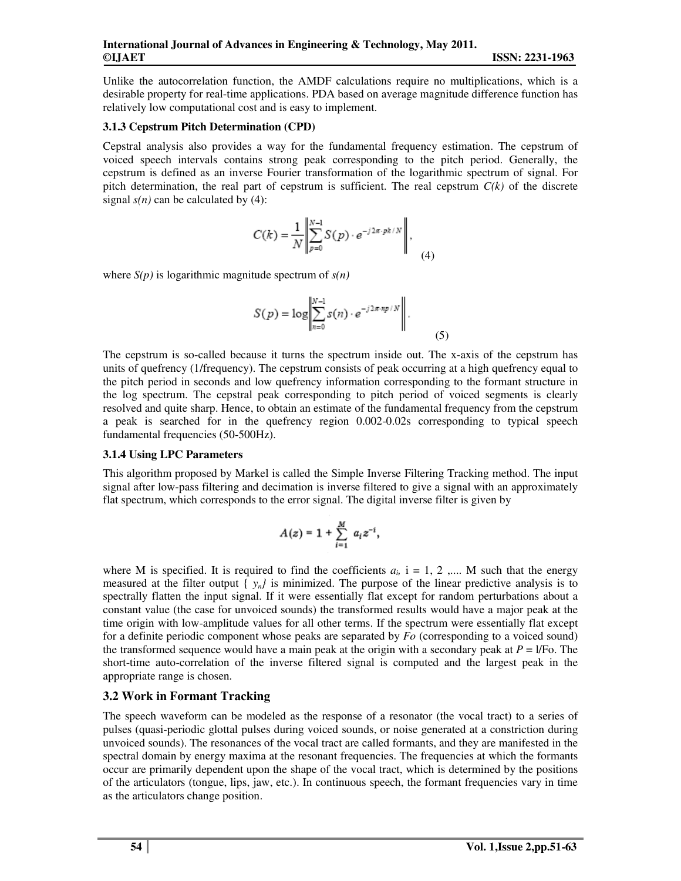Unlike the autocorrelation function, the AMDF calculations require no multiplications, which is a desirable property for real-time applications. PDA based on average magnitude difference function has relatively low computational cost and is easy to implement.

#### **3.1.3 Cepstrum Pitch Determination (CPD)**

Cepstral analysis also provides a way for the fundamental frequency estimation. The cepstrum of voiced speech intervals contains strong peak corresponding to the pitch period. Generally, the cepstrum is defined as an inverse Fourier transformation of the logarithmic spectrum of signal. For pitch determination, the real part of cepstrum is sufficient. The real cepstrum  $C(k)$  of the discrete signal  $s(n)$  can be calculated by (4):

$$
C(k) = \frac{1}{N} \left\| \sum_{p=0}^{N-1} S(p) \cdot e^{-j2\pi \cdot pk/N} \right\|, \tag{4}
$$

where  $S(p)$  is logarithmic magnitude spectrum of  $s(n)$ 

$$
S(p) = \log \left\| \sum_{n=0}^{N-1} s(n) \cdot e^{-j2\pi n p/N} \right\|.
$$
 (5)

The cepstrum is so-called because it turns the spectrum inside out. The x-axis of the cepstrum has units of quefrency (1/frequency). The cepstrum consists of peak occurring at a high quefrency equal to the pitch period in seconds and low quefrency information corresponding to the formant structure in the log spectrum. The cepstral peak corresponding to pitch period of voiced segments is clearly resolved and quite sharp. Hence, to obtain an estimate of the fundamental frequency from the cepstrum a peak is searched for in the quefrency region 0.002-0.02s corresponding to typical speech fundamental frequencies (50-500Hz).

#### **3.1.4 Using LPC Parameters**

This algorithm proposed by Markel is called the Simple Inverse Filtering Tracking method. The input signal after low-pass filtering and decimation is inverse filtered to give a signal with an approximately flat spectrum, which corresponds to the error signal. The digital inverse filter is given by

$$
A(z) = 1 + \sum_{i=1}^{M} a_i z^{-i},
$$

where M is specified. It is required to find the coefficients  $a_i$ ,  $i = 1, 2, \dots$  M such that the energy measured at the filter output  $\{y_n\}$  is minimized. The purpose of the linear predictive analysis is to spectrally flatten the input signal. If it were essentially flat except for random perturbations about a constant value (the case for unvoiced sounds) the transformed results would have a major peak at the time origin with low-amplitude values for all other terms. If the spectrum were essentially flat except for a definite periodic component whose peaks are separated by *Fo* (corresponding to a voiced sound) the transformed sequence would have a main peak at the origin with a secondary peak at *P* = l/Fo. The short-time auto-correlation of the inverse filtered signal is computed and the largest peak in the appropriate range is chosen.

#### **3.2 Work in Formant Tracking**

The speech waveform can be modeled as the response of a resonator (the vocal tract) to a series of pulses (quasi-periodic glottal pulses during voiced sounds, or noise generated at a constriction during unvoiced sounds). The resonances of the vocal tract are called formants, and they are manifested in the spectral domain by energy maxima at the resonant frequencies. The frequencies at which the formants occur are primarily dependent upon the shape of the vocal tract, which is determined by the positions of the articulators (tongue, lips, jaw, etc.). In continuous speech, the formant frequencies vary in time as the articulators change position.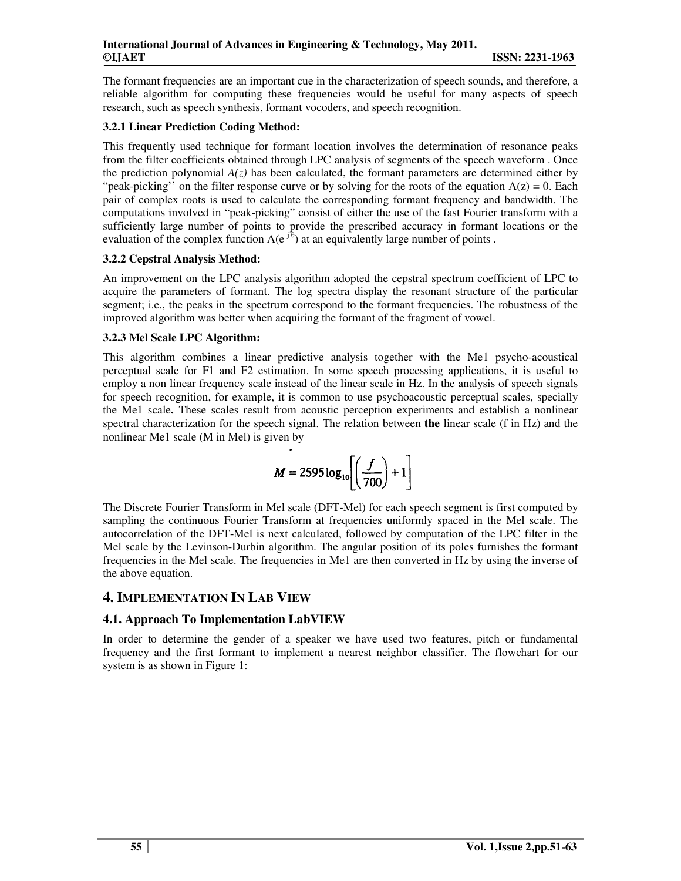The formant frequencies are an important cue in the characterization of speech sounds, and therefore, a reliable algorithm for computing these frequencies would be useful for many aspects of speech research, such as speech synthesis, formant vocoders, and speech recognition.

#### **3.2.1 Linear Prediction Coding Method:**

This frequently used technique for formant location involves the determination of resonance peaks from the filter coefficients obtained through LPC analysis of segments of the speech waveform . Once the prediction polynomial  $A(z)$  has been calculated, the formant parameters are determined either by "peak-picking" on the filter response curve or by solving for the roots of the equation  $A(z) = 0$ . Each pair of complex roots is used to calculate the corresponding formant frequency and bandwidth. The computations involved in "peak-picking" consist of either the use of the fast Fourier transform with a sufficiently large number of points to provide the prescribed accuracy in formant locations or the evaluation of the complex function  $A(e^{j\theta})$  at an equivalently large number of points.

#### **3.2.2 Cepstral Analysis Method:**

An improvement on the LPC analysis algorithm adopted the cepstral spectrum coefficient of LPC to acquire the parameters of formant. The log spectra display the resonant structure of the particular segment; i.e., the peaks in the spectrum correspond to the formant frequencies. The robustness of the improved algorithm was better when acquiring the formant of the fragment of vowel.

#### **3.2.3 Mel Scale LPC Algorithm:**

This algorithm combines a linear predictive analysis together with the Me1 psycho-acoustical perceptual scale for F1 and F2 estimation. In some speech processing applications, it is useful to employ a non linear frequency scale instead of the linear scale in Hz. In the analysis of speech signals for speech recognition, for example, it is common to use psychoacoustic perceptual scales, specially the Me1 scale**.** These scales result from acoustic perception experiments and establish a nonlinear spectral characterization for the speech signal. The relation between **the** linear scale (f in Hz) and the nonlinear Me1 scale (M in Mel) is given by

$$
M = 2595 \log_{10} \left[ \left( \frac{f}{700} \right) + 1 \right]
$$

The Discrete Fourier Transform in Mel scale (DFT-Mel) for each speech segment is first computed by sampling the continuous Fourier Transform at frequencies uniformly spaced in the Mel scale. The autocorrelation of the DFT-Mel is next calculated, followed by computation of the LPC filter in the Mel scale by the Levinson-Durbin algorithm. The angular position of its poles furnishes the formant frequencies in the Mel scale. The frequencies in Me1 are then converted in Hz by using the inverse of the above equation.

## **4. IMPLEMENTATION IN LAB VIEW**

#### **4.1. Approach To Implementation LabVIEW**

In order to determine the gender of a speaker we have used two features, pitch or fundamental frequency and the first formant to implement a nearest neighbor classifier. The flowchart for our system is as shown in Figure 1: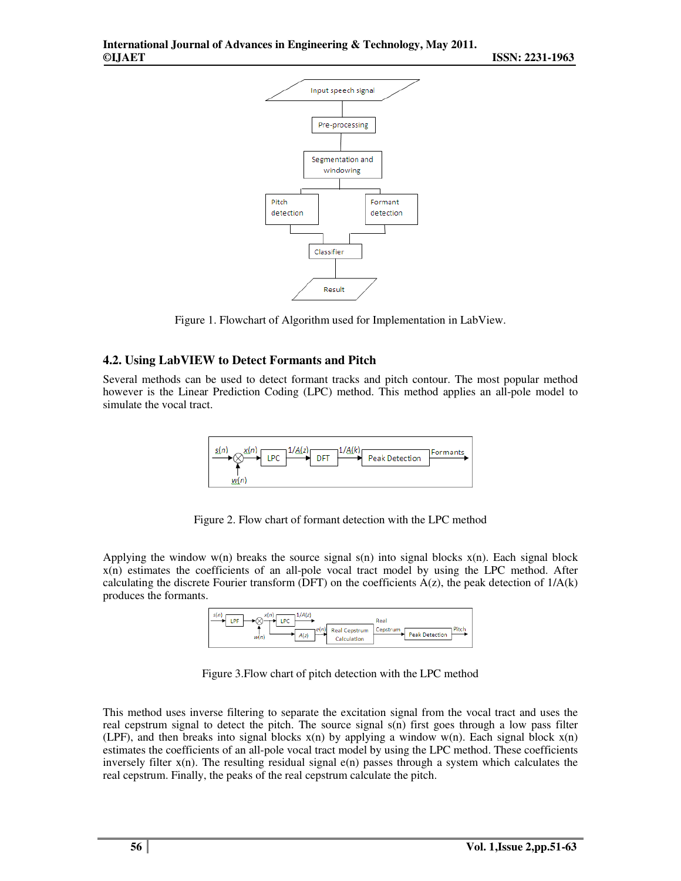

Figure 1. Flowchart of Algorithm used for Implementation in LabView.

#### **4.2. Using LabVIEW to Detect Formants and Pitch**

Several methods can be used to detect formant tracks and pitch contour. The most popular method however is the Linear Prediction Coding (LPC) method. This method applies an all-pole model to simulate the vocal tract.



Figure 2. Flow chart of formant detection with the LPC method

Applying the window  $w(n)$  breaks the source signal s(n) into signal blocks  $x(n)$ . Each signal block x(n) estimates the coefficients of an all-pole vocal tract model by using the LPC method. After calculating the discrete Fourier transform (DFT) on the coefficients  $A(z)$ , the peak detection of  $1/A(k)$ produces the formants.

| 1/A(z)<br>s(n<br>. PF<br>.PC<br>. .<br>e(n)<br><b>Real Cepstrum</b><br>A(z)<br>w(n)<br>Calculation | Real<br>Pitch<br>Cepstrum<br><b>Peak Detection</b> |
|----------------------------------------------------------------------------------------------------|----------------------------------------------------|
|----------------------------------------------------------------------------------------------------|----------------------------------------------------|

Figure 3.Flow chart of pitch detection with the LPC method

This method uses inverse filtering to separate the excitation signal from the vocal tract and uses the real cepstrum signal to detect the pitch. The source signal s(n) first goes through a low pass filter (LPF), and then breaks into signal blocks  $x(n)$  by applying a window w(n). Each signal block  $x(n)$ estimates the coefficients of an all-pole vocal tract model by using the LPC method. These coefficients inversely filter  $x(n)$ . The resulting residual signal  $e(n)$  passes through a system which calculates the real cepstrum. Finally, the peaks of the real cepstrum calculate the pitch.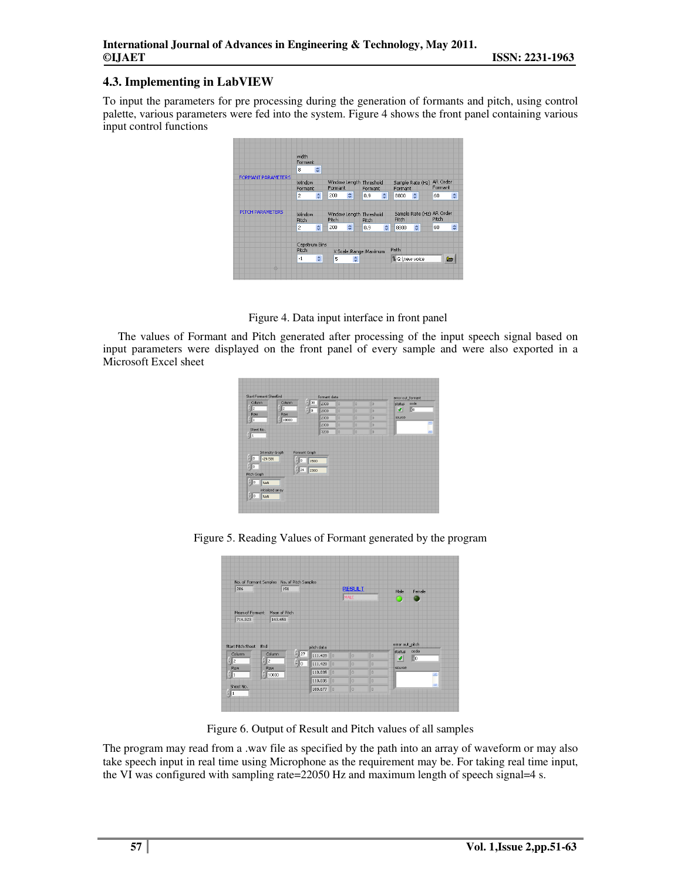#### **4.3. Implementing in LabVIEW**

To input the parameters for pre processing during the generation of formants and pitch, using control palette, various parameters were fed into the system. Figure 4 shows the front panel containing various input control functions

|                    | Cepstrum Bins           |                   |              |                         |              |   |              |                           |                     |        |
|--------------------|-------------------------|-------------------|--------------|-------------------------|--------------|---|--------------|---------------------------|---------------------|--------|
|                    | $\overline{c}$          | ÷                 | 200          | ÷                       | 0.9          | ÷ | 8800         | $\hat{\mathbf{v}}$        | 60                  | $\div$ |
| PITCH PARAMETERS   | Window.<br><b>Pitch</b> |                   | <b>Pitch</b> | Window Length Threshold | <b>Pitch</b> |   | <b>Pitch</b> | Sample Rate (Hz) AR Order | <b>Pitch</b>        |        |
|                    | $\overline{c}$          | ÷                 | 200          | ÷                       | 0.9          | ÷ | 8800         | $\div$                    | 60                  | $\div$ |
| FORMANT PARAMETERS | Window<br>Formant.      |                   | Formant      | Window Length Threshold | Formant      |   | Formant      | Sample Rate (Hz)          | AR Order<br>Formant |        |
|                    | Formant<br>8            | $\mathbf{A}$<br>₩ |              |                         |              |   |              |                           |                     |        |
|                    | width                   |                   |              |                         |              |   |              |                           |                     |        |

Figure 4. Data input interface in front panel

The values of Formant and Pitch generated after processing of the input speech signal based on input parameters were displayed on the front panel of every sample and were also exported in a Microsoft Excel sheet

|                                         | Start Formant SheeEnd      |                       | formant data |     |                |                | error out_formant          |
|-----------------------------------------|----------------------------|-----------------------|--------------|-----|----------------|----------------|----------------------------|
| Column                                  | Column                     | $^{4}$ $\frac{1}{38}$ | 2300         | lo  | $\overline{0}$ | $\overline{0}$ | code<br>status             |
| $\frac{2}{3}$ 2                         | 2                          | $f \parallel 0$       | 2000         | lo  | $\overline{0}$ | $\overline{0}$ | <b>BO</b><br>$\mathcal{P}$ |
| Row<br>印                                | <b>Row</b><br>$^{4}$ 10000 |                       | 2300         | llo | o              | n              | source                     |
|                                         |                            |                       | 2300         | lo  | o              | $\overline{0}$ | $\Delta \omega$            |
| Sheet No.<br>$\frac{2}{3}$ 1            |                            |                       | 3200         | lo  | $\overline{0}$ | $\theta$       | <b>DO</b>                  |
| Intensity Graph                         |                            | Formant Graph         |              |     |                |                |                            |
| $\frac{2}{3}$ o<br>$-29.585$            | 4                          | In<br>1500            |              |     |                |                |                            |
| $\frac{1}{2}$ 0                         | 쉐                          | 24<br>2300            |              |     |                |                |                            |
|                                         |                            |                       |              |     |                |                |                            |
| Pitch Graph<br>$\frac{E}{\pi}$ o<br>NaN |                            |                       |              |     |                |                |                            |
|                                         |                            |                       |              |     |                |                |                            |

Figure 5. Reading Values of Formant generated by the program

|                               |                               | No. of Formant Samples No. of Pitch Samples |                             |    |                       |                |                               |                |
|-------------------------------|-------------------------------|---------------------------------------------|-----------------------------|----|-----------------------|----------------|-------------------------------|----------------|
| 286                           |                               | 191                                         |                             |    | <b>RESULT</b><br>MALE |                | Male                          | Female         |
| Mean of Formant               |                               | Mean of Pitch                               |                             |    |                       |                |                               |                |
| 714.923                       | 143.659                       |                                             |                             |    |                       |                |                               |                |
| Start Pitch Sheet             | End                           |                                             | pitch data                  |    |                       |                | error out_pitch               |                |
| Column                        | Column.                       |                                             | $\frac{1}{T}$ 27<br>111.428 | lo | n                     | n              | status<br>$\mathcal{I}% _{0}$ | code<br>30     |
| $\frac{2}{7}$ 2<br><b>Row</b> | $\frac{7}{7}$ 2<br><b>Row</b> |                                             | $\frac{r}{r}$ 0<br>111.428  | lo | $\overline{0}$        | $\overline{0}$ | source                        |                |
| 印                             | (10000)                       |                                             | 110.035                     | lo | $\overline{0}$        | $\overline{0}$ |                               | $\sim$         |
|                               |                               |                                             | 110.035                     | 10 | $\overline{0}$        | $\overline{0}$ |                               |                |
| Sheet No.                     |                               |                                             | 108.677 0                   |    | $\overline{0}$        | $\overline{0}$ |                               | $\overline{a}$ |

Figure 6. Output of Result and Pitch values of all samples

The program may read from a .wav file as specified by the path into an array of waveform or may also take speech input in real time using Microphone as the requirement may be. For taking real time input, the VI was configured with sampling rate=22050 Hz and maximum length of speech signal=4 s.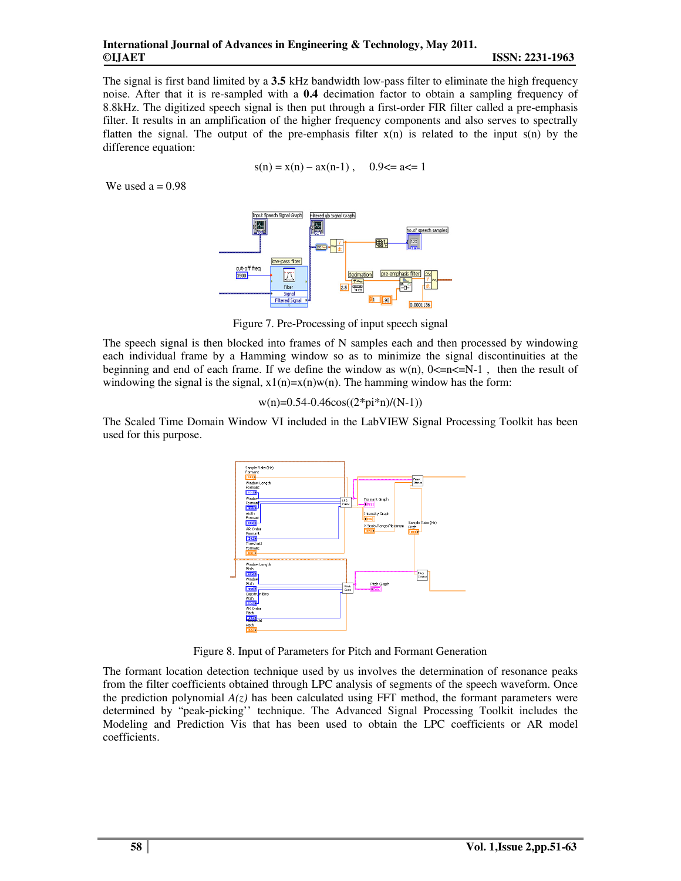#### **International Journal of Advances in Engineering & Technology, May 2011. ©IJAET ISSN: 2231-1963**

The signal is first band limited by a **3.5** kHz bandwidth low-pass filter to eliminate the high frequency noise. After that it is re-sampled with a **0.4** decimation factor to obtain a sampling frequency of 8.8kHz. The digitized speech signal is then put through a first-order FIR filter called a pre-emphasis filter. It results in an amplification of the higher frequency components and also serves to spectrally flatten the signal. The output of the pre-emphasis filter  $x(n)$  is related to the input  $s(n)$  by the difference equation:

$$
s(n) = x(n) - ax(n-1)
$$
, 0.9  $\leq$  a  $\leq$  1

We used  $a = 0.98$ 



Figure 7. Pre-Processing of input speech signal

The speech signal is then blocked into frames of N samples each and then processed by windowing each individual frame by a Hamming window so as to minimize the signal discontinuities at the beginning and end of each frame. If we define the window as  $w(n)$ ,  $0 \le n \le N-1$ , then the result of windowing the signal is the signal,  $x1(n)=x(n)w(n)$ . The hamming window has the form:

 $w(n)=0.54-0.46cos((2*pi*n)/(N-1))$ 

The Scaled Time Domain Window VI included in the LabVIEW Signal Processing Toolkit has been used for this purpose.



Figure 8. Input of Parameters for Pitch and Formant Generation

The formant location detection technique used by us involves the determination of resonance peaks from the filter coefficients obtained through LPC analysis of segments of the speech waveform. Once the prediction polynomial  $A(z)$  has been calculated using FFT method, the formant parameters were determined by "peak-picking'' technique. The Advanced Signal Processing Toolkit includes the Modeling and Prediction Vis that has been used to obtain the LPC coefficients or AR model coefficients.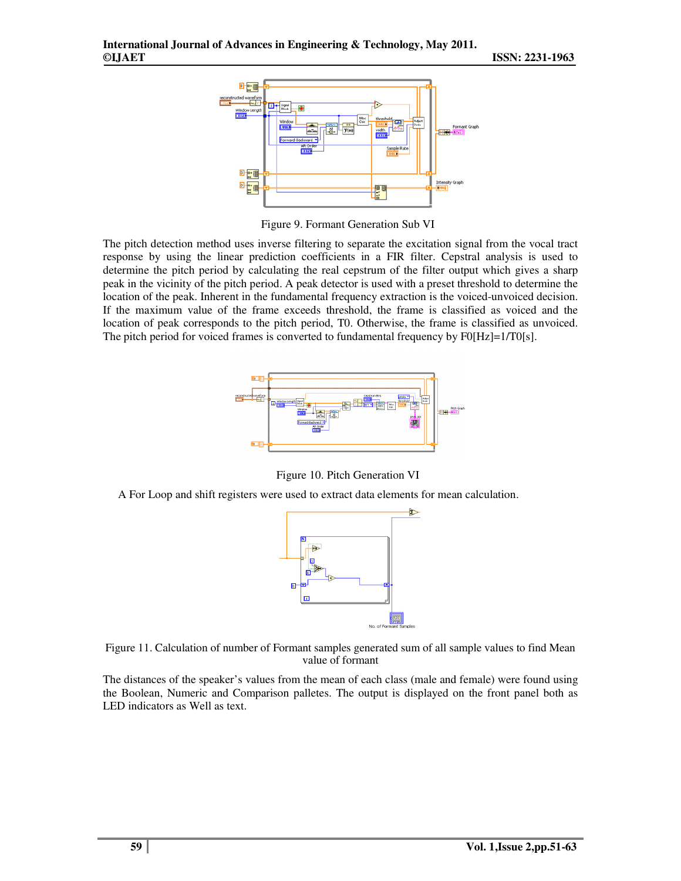

Figure 9. Formant Generation Sub VI

The pitch detection method uses inverse filtering to separate the excitation signal from the vocal tract response by using the linear prediction coefficients in a FIR filter. Cepstral analysis is used to determine the pitch period by calculating the real cepstrum of the filter output which gives a sharp peak in the vicinity of the pitch period. A peak detector is used with a preset threshold to determine the location of the peak. Inherent in the fundamental frequency extraction is the voiced-unvoiced decision. If the maximum value of the frame exceeds threshold, the frame is classified as voiced and the location of peak corresponds to the pitch period, T0. Otherwise, the frame is classified as unvoiced. The pitch period for voiced frames is converted to fundamental frequency by  $F0[Hz]=1/T0[s]$ .



Figure 10. Pitch Generation VI

A For Loop and shift registers were used to extract data elements for mean calculation.





The distances of the speaker's values from the mean of each class (male and female) were found using the Boolean, Numeric and Comparison palletes. The output is displayed on the front panel both as LED indicators as Well as text.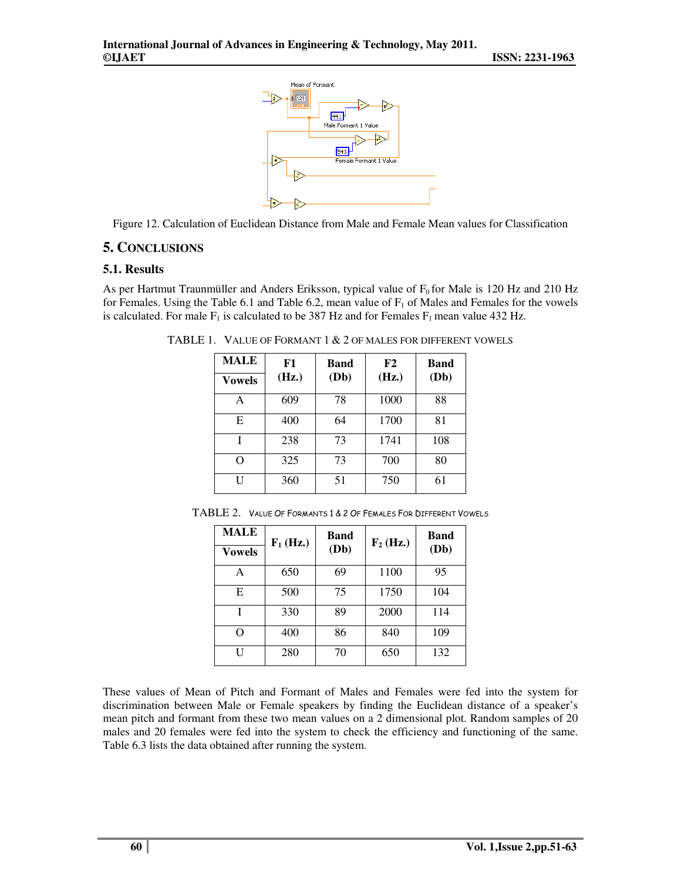

Figure 12. Calculation of Euclidean Distance from Male and Female Mean values for Classification

## **5. CONCLUSIONS**

#### **5.1. Results**

As per Hartmut Traunmüller and Anders Eriksson, typical value of  $F_0$  for Male is 120 Hz and 210 Hz for Females. Using the Table 6.1 and Table 6.2, mean value of  $F_1$  of Males and Females for the vowels is calculated. For male  $F_1$  is calculated to be 387 Hz and for Females  $F_1$  mean value 432 Hz.

TABLE 1. VALUE OF FORMANT 1 & 2 OF MALES FOR DIFFERENT VOWELS

| <b>MALE</b>   | F1    | Band | F2    | <b>Band</b> |
|---------------|-------|------|-------|-------------|
| <b>Vowels</b> | (Hz.) | (Db) | (Hz.) | (Db)        |
| A             | 609   | 78   | 1000  | 88          |
| E             | 400   | 64   | 1700  | 81          |
| T             | 238   | 73   | 1741  | 108         |
| ∩             | 325   | 73   | 700   | 80          |
| IΙ            | 360   | 51   | 750   | 61          |

| <b>MALE</b>   | $F_1$ (Hz.) | Band | $\mathbf{F}_2$ (Hz.) | Band |
|---------------|-------------|------|----------------------|------|
| <b>Vowels</b> |             | (Db) |                      | (Db) |
| А             | 650         | 69   | 1100                 | 95   |
| E             | 500         | 75   | 1750                 | 104  |
|               | 330         | 89   | 2000                 | 114  |
| O             | 400         | 86   | 840                  | 109  |
| U             | 280         | 70   | 650                  | 132  |

TABLE 2. VALUE OF FORMANTS 1 & 2 OF FEMALES FOR DIFFERENT VOWELS

These values of Mean of Pitch and Formant of Males and Females were fed into the system for discrimination between Male or Female speakers by finding the Euclidean distance of a speaker's mean pitch and formant from these two mean values on a 2 dimensional plot. Random samples of 20 males and 20 females were fed into the system to check the efficiency and functioning of the same. Table 6.3 lists the data obtained after running the system.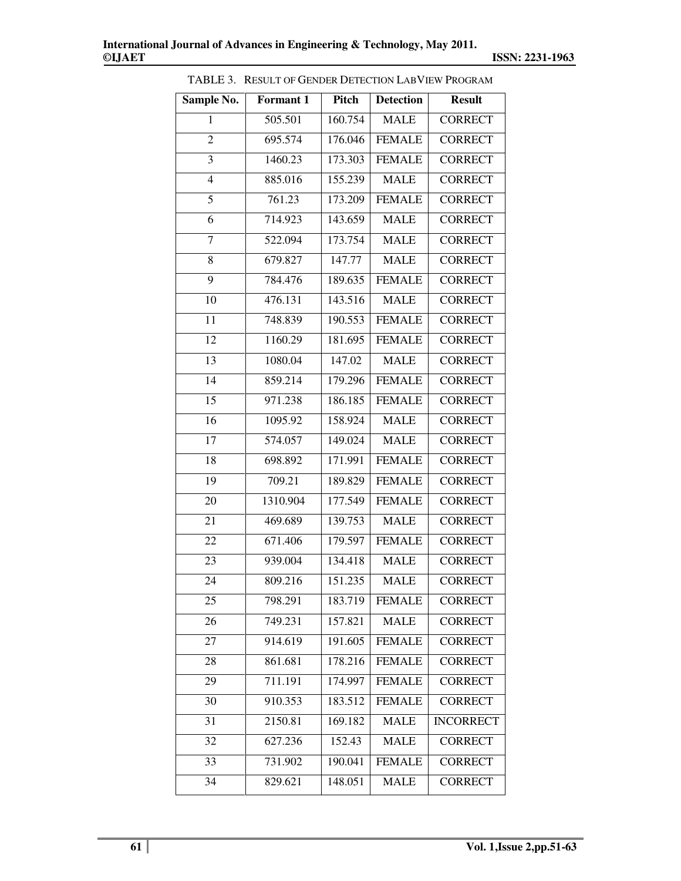| Sample No.      | Formant 1 | Pitch   | <b>Detection</b> | <b>Result</b>    |
|-----------------|-----------|---------|------------------|------------------|
| 1               | 505.501   | 160.754 | <b>MALE</b>      | <b>CORRECT</b>   |
| $\overline{2}$  | 695.574   | 176.046 | <b>FEMALE</b>    | <b>CORRECT</b>   |
| 3               | 1460.23   | 173.303 | <b>FEMALE</b>    | <b>CORRECT</b>   |
| $\overline{4}$  | 885.016   | 155.239 | <b>MALE</b>      | <b>CORRECT</b>   |
| 5               | 761.23    | 173.209 | <b>FEMALE</b>    | <b>CORRECT</b>   |
| 6               | 714.923   | 143.659 | <b>MALE</b>      | <b>CORRECT</b>   |
| $\tau$          | 522.094   | 173.754 | <b>MALE</b>      | <b>CORRECT</b>   |
| 8               | 679.827   | 147.77  | <b>MALE</b>      | <b>CORRECT</b>   |
| 9               | 784.476   | 189.635 | <b>FEMALE</b>    | <b>CORRECT</b>   |
| 10              | 476.131   | 143.516 | <b>MALE</b>      | <b>CORRECT</b>   |
| 11              | 748.839   | 190.553 | <b>FEMALE</b>    | <b>CORRECT</b>   |
| 12              | 1160.29   | 181.695 | <b>FEMALE</b>    | <b>CORRECT</b>   |
| 13              | 1080.04   | 147.02  | <b>MALE</b>      | <b>CORRECT</b>   |
| $\overline{14}$ | 859.214   | 179.296 | <b>FEMALE</b>    | <b>CORRECT</b>   |
| 15              | 971.238   | 186.185 | <b>FEMALE</b>    | <b>CORRECT</b>   |
| $\overline{16}$ | 1095.92   | 158.924 | <b>MALE</b>      | <b>CORRECT</b>   |
| 17              | 574.057   | 149.024 | <b>MALE</b>      | <b>CORRECT</b>   |
| 18              | 698.892   | 171.991 | <b>FEMALE</b>    | <b>CORRECT</b>   |
| 19              | 709.21    | 189.829 | <b>FEMALE</b>    | <b>CORRECT</b>   |
| 20              | 1310.904  | 177.549 | <b>FEMALE</b>    | <b>CORRECT</b>   |
| 21              | 469.689   | 139.753 | <b>MALE</b>      | <b>CORRECT</b>   |
| 22              | 671.406   | 179.597 | <b>FEMALE</b>    | <b>CORRECT</b>   |
| 23              | 939.004   | 134.418 | <b>MALE</b>      | <b>CORRECT</b>   |
| 24              | 809.216   | 151.235 | <b>MALE</b>      | <b>CORRECT</b>   |
| 25              | 798.291   | 183.719 | <b>FEMALE</b>    | <b>CORRECT</b>   |
| 26              | 749.231   | 157.821 | <b>MALE</b>      | <b>CORRECT</b>   |
| 27              | 914.619   | 191.605 | <b>FEMALE</b>    | <b>CORRECT</b>   |
| 28              | 861.681   | 178.216 | <b>FEMALE</b>    | <b>CORRECT</b>   |
| 29              | 711.191   | 174.997 | <b>FEMALE</b>    | <b>CORRECT</b>   |
| 30              | 910.353   | 183.512 | <b>FEMALE</b>    | <b>CORRECT</b>   |
| 31              | 2150.81   | 169.182 | <b>MALE</b>      | <b>INCORRECT</b> |
| 32              | 627.236   | 152.43  | <b>MALE</b>      | <b>CORRECT</b>   |
| 33              | 731.902   | 190.041 | <b>FEMALE</b>    | <b>CORRECT</b>   |
| 34              | 829.621   | 148.051 | <b>MALE</b>      | <b>CORRECT</b>   |

TABLE 3. RESULT OF GENDER DETECTION LABVIEW PROGRAM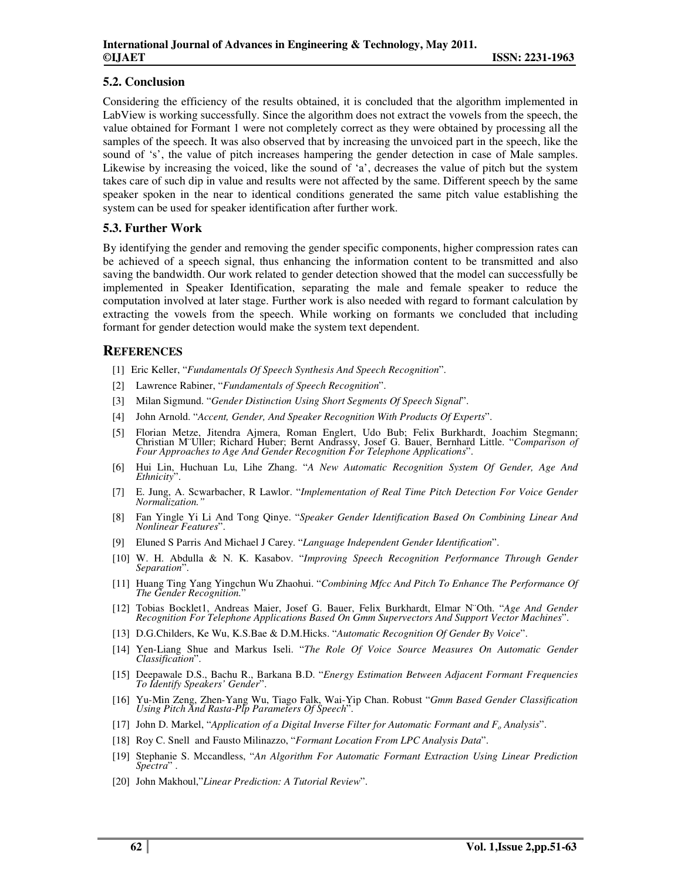#### **5.2. Conclusion**

Considering the efficiency of the results obtained, it is concluded that the algorithm implemented in LabView is working successfully. Since the algorithm does not extract the vowels from the speech, the value obtained for Formant 1 were not completely correct as they were obtained by processing all the samples of the speech. It was also observed that by increasing the unvoiced part in the speech, like the sound of 's', the value of pitch increases hampering the gender detection in case of Male samples. Likewise by increasing the voiced, like the sound of 'a', decreases the value of pitch but the system takes care of such dip in value and results were not affected by the same. Different speech by the same speaker spoken in the near to identical conditions generated the same pitch value establishing the system can be used for speaker identification after further work.

### **5.3. Further Work**

By identifying the gender and removing the gender specific components, higher compression rates can be achieved of a speech signal, thus enhancing the information content to be transmitted and also saving the bandwidth. Our work related to gender detection showed that the model can successfully be implemented in Speaker Identification, separating the male and female speaker to reduce the computation involved at later stage. Further work is also needed with regard to formant calculation by extracting the vowels from the speech. While working on formants we concluded that including formant for gender detection would make the system text dependent.

## **REFERENCES**

- [1] Eric Keller, "*Fundamentals Of Speech Synthesis And Speech Recognition*".
- [2] Lawrence Rabiner, "*Fundamentals of Speech Recognition*".
- [3] Milan Sigmund. "*Gender Distinction Using Short Segments Of Speech Signal*".
- [4] John Arnold. "*Accent, Gender, And Speaker Recognition With Products Of Experts*".
- [5] Florian Metze, Jitendra Ajmera, Roman Englert, Udo Bub; Felix Burkhardt, Joachim Stegmann; Christian M¨Uller; Richard Huber; Bernt Andrassy, Josef G. Bauer, Bernhard Little. "*Comparison of Four Approaches to Age And Gender Recognition For Telephone Applications*".
- [6] Hui Lin, Huchuan Lu, Lihe Zhang. "*A New Automatic Recognition System Of Gender, Age And Ethnicity*".
- [7] E. Jung, A. Scwarbacher, R Lawlor. "*Implementation of Real Time Pitch Detection For Voice Gender Normalization."*
- [8] Fan Yingle Yi Li And Tong Qinye. "*Speaker Gender Identification Based On Combining Linear And Nonlinear Features*".
- [9] Eluned S Parris And Michael J Carey. "*Language Independent Gender Identification*".
- [10] W. H. Abdulla & N. K. Kasabov. "*Improving Speech Recognition Performance Through Gender Separation*".
- [11] Huang Ting Yang Yingchun Wu Zhaohui. "*Combining Mfcc And Pitch To Enhance The Performance Of The Gender Recognition.*"
- [12] Tobias Bocklet1, Andreas Maier, Josef G. Bauer, Felix Burkhardt, Elmar N¨Oth. "*Age And Gender Recognition For Telephone Applications Based On Gmm Supervectors And Support Vector Machines*".
- [13] D.G.Childers, Ke Wu, K.S.Bae & D.M.Hicks. "*Automatic Recognition Of Gender By Voice*".
- [14] Yen-Liang Shue and Markus Iseli. "*The Role Of Voice Source Measures On Automatic Gender Classification*".
- [15] Deepawale D.S., Bachu R., Barkana B.D. "*Energy Estimation Between Adjacent Formant Frequencies To Identify Speakers' Gender*".
- [16] Yu-Min Zeng, Zhen-Yang Wu, Tiago Falk, Wai-Yip Chan. Robust "*Gmm Based Gender Classification Using Pitch And Rasta-Plp Parameters Of Speech*".
- [17] John D. Markel, "*Application of a Digital Inverse Filter for Automatic Formant and Fo Analysis*".
- [18] Roy C. Snell and Fausto Milinazzo, "*Formant Location From LPC Analysis Data*".
- [19] Stephanie S. Mccandless, "*An Algorithm For Automatic Formant Extraction Using Linear Prediction Spectra*" .
- [20] John Makhoul,"*Linear Prediction: A Tutorial Review*".